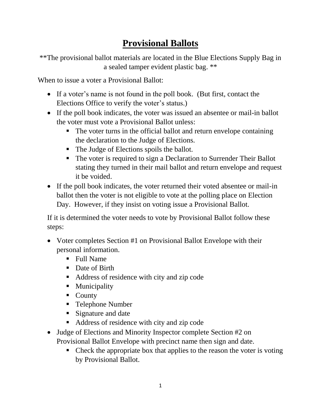## **Provisional Ballots**

\*\*The provisional ballot materials are located in the Blue Elections Supply Bag in a sealed tamper evident plastic bag. \*\*

When to issue a voter a Provisional Ballot:

- If a voter's name is not found in the poll book. (But first, contact the Elections Office to verify the voter's status.)
- If the poll book indicates, the voter was issued an absentee or mail-in ballot the voter must vote a Provisional Ballot unless:
	- The voter turns in the official ballot and return envelope containing the declaration to the Judge of Elections.
	- The Judge of Elections spoils the ballot.
	- The voter is required to sign a Declaration to Surrender Their Ballot stating they turned in their mail ballot and return envelope and request it be voided.
- If the poll book indicates, the voter returned their voted absentee or mail-in ballot then the voter is not eligible to vote at the polling place on Election Day. However, if they insist on voting issue a Provisional Ballot.

If it is determined the voter needs to vote by Provisional Ballot follow these steps:

- Voter completes Section #1 on Provisional Ballot Envelope with their personal information.
	- Full Name
	- Date of Birth
	- Address of residence with city and zip code
	- Municipality
	- County
	- Telephone Number
	- Signature and date
	- Address of residence with city and zip code
- Judge of Elections and Minority Inspector complete Section #2 on Provisional Ballot Envelope with precinct name then sign and date.
	- Check the appropriate box that applies to the reason the voter is voting by Provisional Ballot.